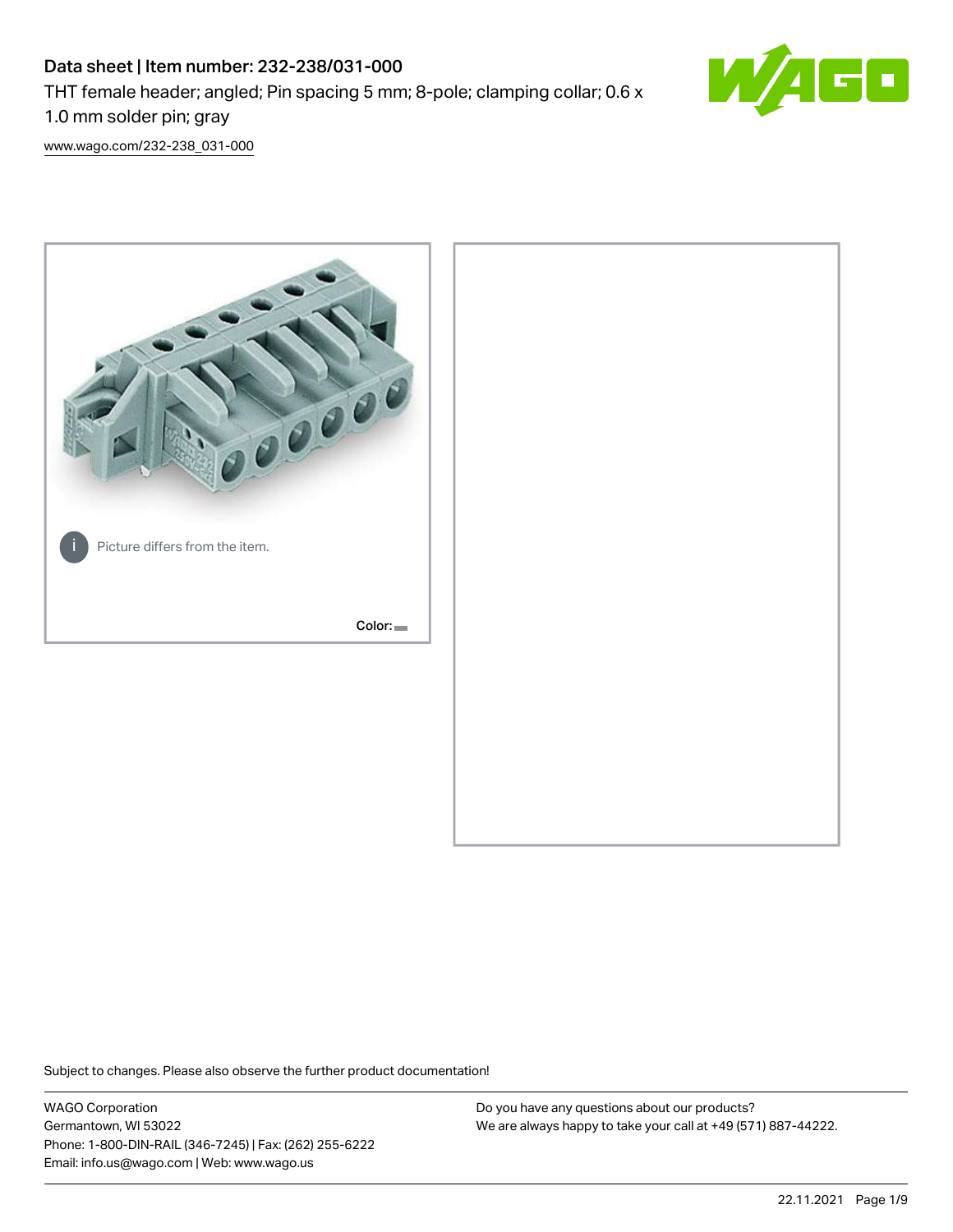# Data sheet | Item number: 232-238/031-000 THT female header; angled; Pin spacing 5 mm; 8-pole; clamping collar; 0.6 x 1.0 mm solder pin; gray



[www.wago.com/232-238\\_031-000](http://www.wago.com/232-238_031-000)



Subject to changes. Please also observe the further product documentation!

WAGO Corporation Germantown, WI 53022 Phone: 1-800-DIN-RAIL (346-7245) | Fax: (262) 255-6222 Email: info.us@wago.com | Web: www.wago.us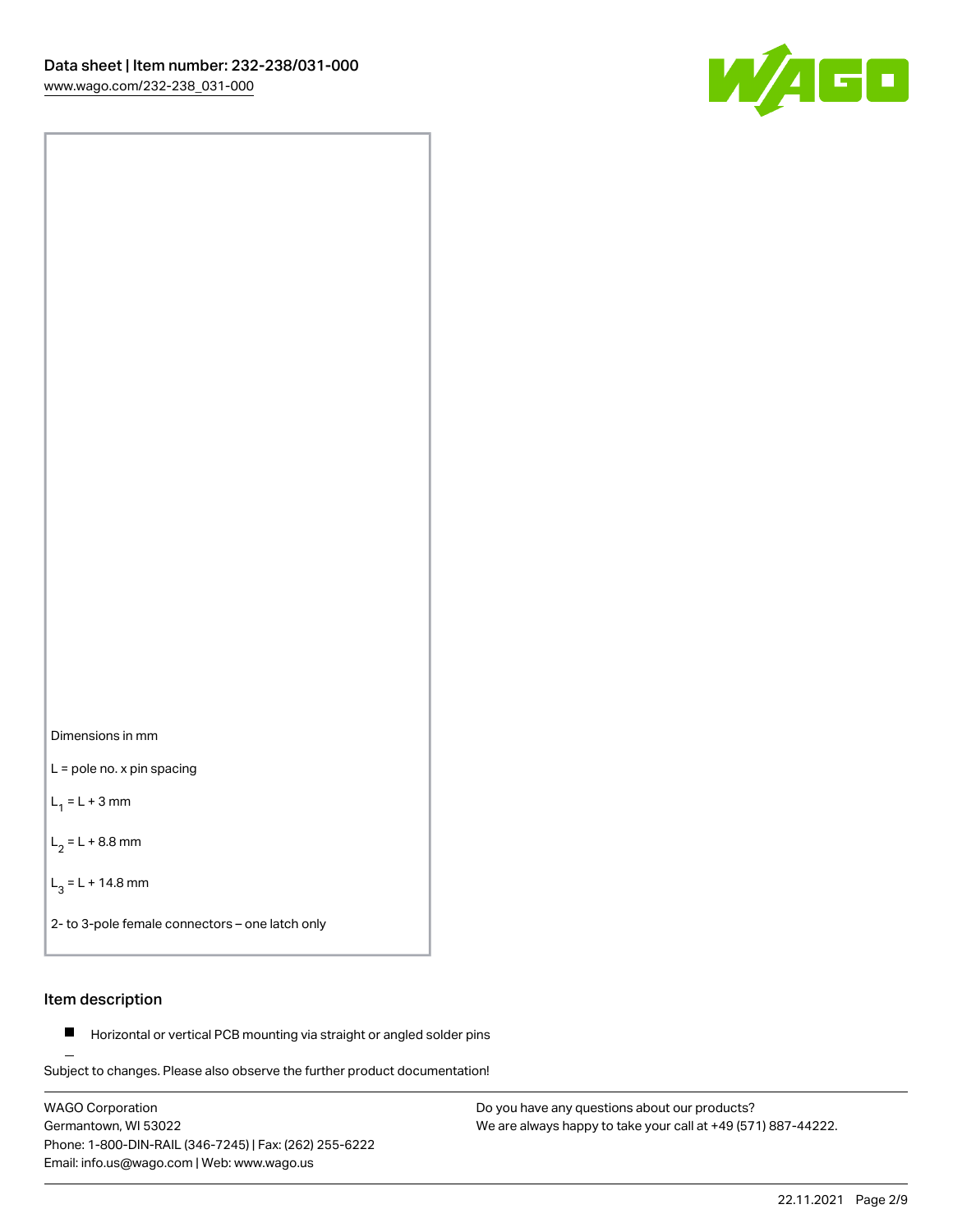



L = pole no. x pin spacing

 $L_1 = L + 3$  mm

 $L_2 = L + 8.8$  mm

 $L_3 = L + 14.8$  mm

2- to 3-pole female connectors – one latch only

### Item description

**Horizontal or vertical PCB mounting via straight or angled solder pins** 

Subject to changes. Please also observe the further product documentation! For board-to-board and board-to-wire connections

WAGO Corporation Germantown, WI 53022 Phone: 1-800-DIN-RAIL (346-7245) | Fax: (262) 255-6222 Email: info.us@wago.com | Web: www.wago.us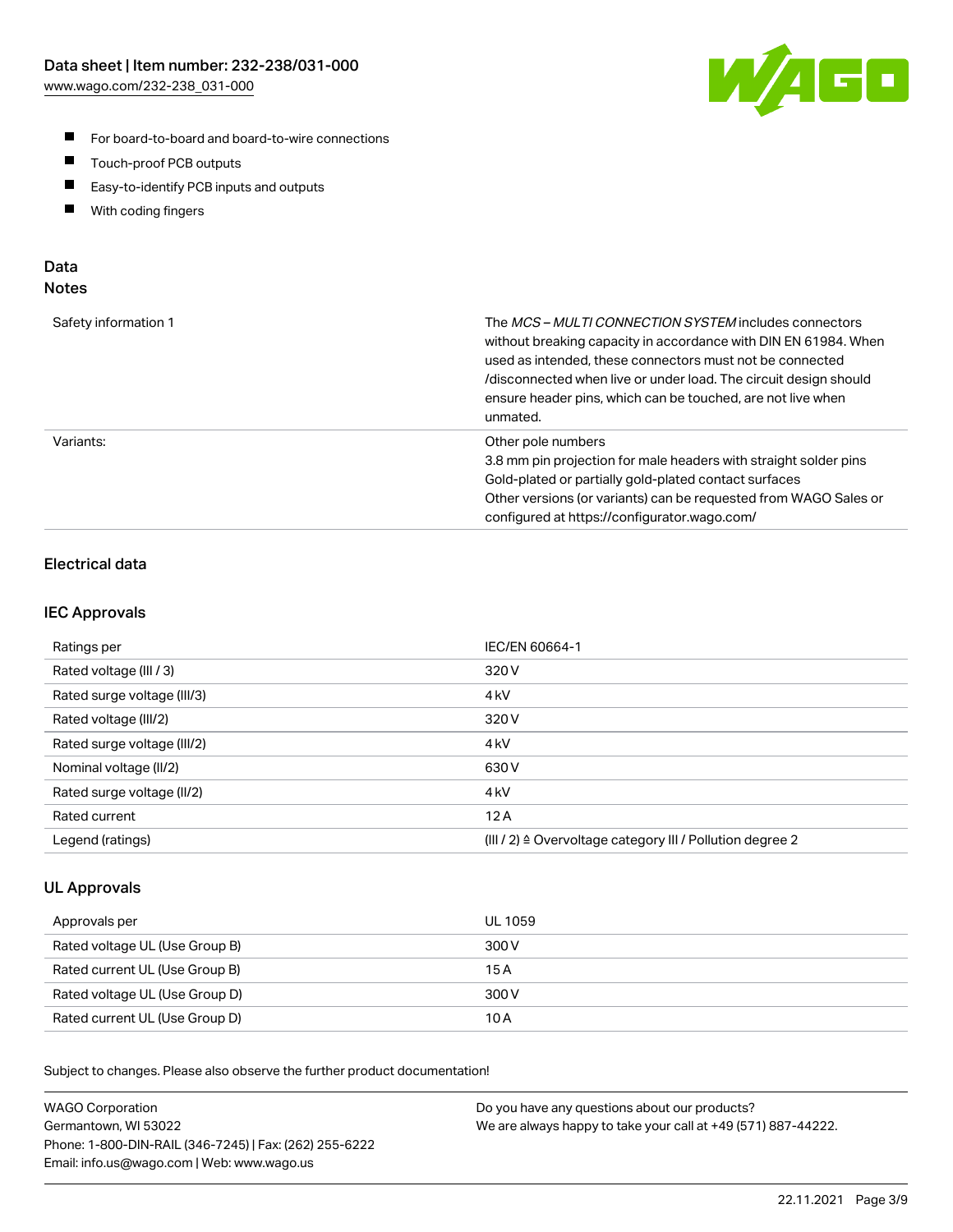

- For board-to-board and board-to-wire connections
- $\blacksquare$ Touch-proof PCB outputs
- $\blacksquare$ Easy-to-identify PCB inputs and outputs
- $\blacksquare$ With coding fingers

### Data **Notes**

| Safety information 1 | The <i>MCS – MULTI CONNECTION SYSTEM</i> includes connectors<br>without breaking capacity in accordance with DIN EN 61984. When<br>used as intended, these connectors must not be connected<br>/disconnected when live or under load. The circuit design should<br>ensure header pins, which can be touched, are not live when<br>unmated. |
|----------------------|--------------------------------------------------------------------------------------------------------------------------------------------------------------------------------------------------------------------------------------------------------------------------------------------------------------------------------------------|
| Variants:            | Other pole numbers<br>3.8 mm pin projection for male headers with straight solder pins<br>Gold-plated or partially gold-plated contact surfaces<br>Other versions (or variants) can be requested from WAGO Sales or<br>configured at https://configurator.wago.com/                                                                        |

## Electrical data

### IEC Approvals

| Ratings per                 | IEC/EN 60664-1                                                        |
|-----------------------------|-----------------------------------------------------------------------|
| Rated voltage (III / 3)     | 320 V                                                                 |
| Rated surge voltage (III/3) | 4 <sub>k</sub> V                                                      |
| Rated voltage (III/2)       | 320 V                                                                 |
| Rated surge voltage (III/2) | 4 <sub>k</sub> V                                                      |
| Nominal voltage (II/2)      | 630 V                                                                 |
| Rated surge voltage (II/2)  | 4 <sub>kV</sub>                                                       |
| Rated current               | 12A                                                                   |
| Legend (ratings)            | $(III / 2)$ $\triangle$ Overvoltage category III / Pollution degree 2 |

### UL Approvals

| Approvals per                  | UL 1059 |
|--------------------------------|---------|
| Rated voltage UL (Use Group B) | 300 V   |
| Rated current UL (Use Group B) | 15 A    |
| Rated voltage UL (Use Group D) | 300 V   |
| Rated current UL (Use Group D) | 10 A    |

| <b>WAGO Corporation</b>                                | Do you have any questions about our products?                 |
|--------------------------------------------------------|---------------------------------------------------------------|
| Germantown, WI 53022                                   | We are always happy to take your call at +49 (571) 887-44222. |
| Phone: 1-800-DIN-RAIL (346-7245)   Fax: (262) 255-6222 |                                                               |
| Email: info.us@wago.com   Web: www.wago.us             |                                                               |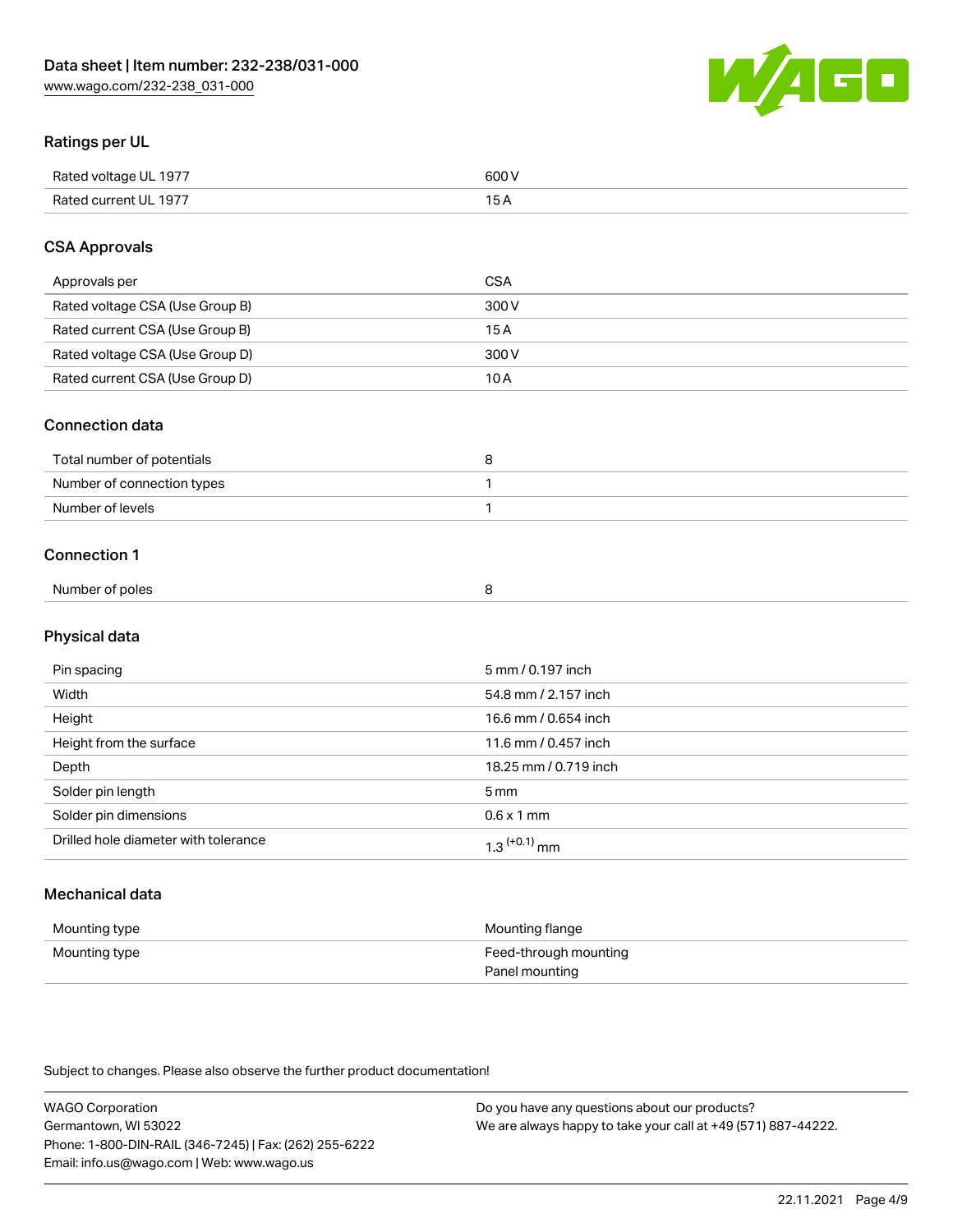

### Ratings per UL

| Rated voltage UL 1977 | 600 \<br>.   |
|-----------------------|--------------|
| Rated current UL 1977 | . . <i>.</i> |

### CSA Approvals

| Approvals per                   | CSA   |
|---------------------------------|-------|
| Rated voltage CSA (Use Group B) | 300 V |
| Rated current CSA (Use Group B) | 15 A  |
| Rated voltage CSA (Use Group D) | 300 V |
| Rated current CSA (Use Group D) | 10 A  |

#### Connection data

| Total number of potentials |  |
|----------------------------|--|
| Number of connection types |  |
| Number of levels           |  |

#### Connection 1

| Number of poles |  |  |
|-----------------|--|--|
|                 |  |  |

# Physical data

| Pin spacing                          | 5 mm / 0.197 inch     |
|--------------------------------------|-----------------------|
| Width                                | 54.8 mm / 2.157 inch  |
| Height                               | 16.6 mm / 0.654 inch  |
| Height from the surface              | 11.6 mm / 0.457 inch  |
| Depth                                | 18.25 mm / 0.719 inch |
| Solder pin length                    | 5 <sub>mm</sub>       |
| Solder pin dimensions                | $0.6 \times 1$ mm     |
| Drilled hole diameter with tolerance | $1.3$ $(+0.1)$ mm     |

# Mechanical data

| Mounting type | Mounting flange                         |
|---------------|-----------------------------------------|
| Mounting type | Feed-through mounting<br>Panel mounting |

| <b>WAGO Corporation</b>                                | Do you have any questions about our products?                 |
|--------------------------------------------------------|---------------------------------------------------------------|
| Germantown, WI 53022                                   | We are always happy to take your call at +49 (571) 887-44222. |
| Phone: 1-800-DIN-RAIL (346-7245)   Fax: (262) 255-6222 |                                                               |
| Email: info.us@wago.com   Web: www.wago.us             |                                                               |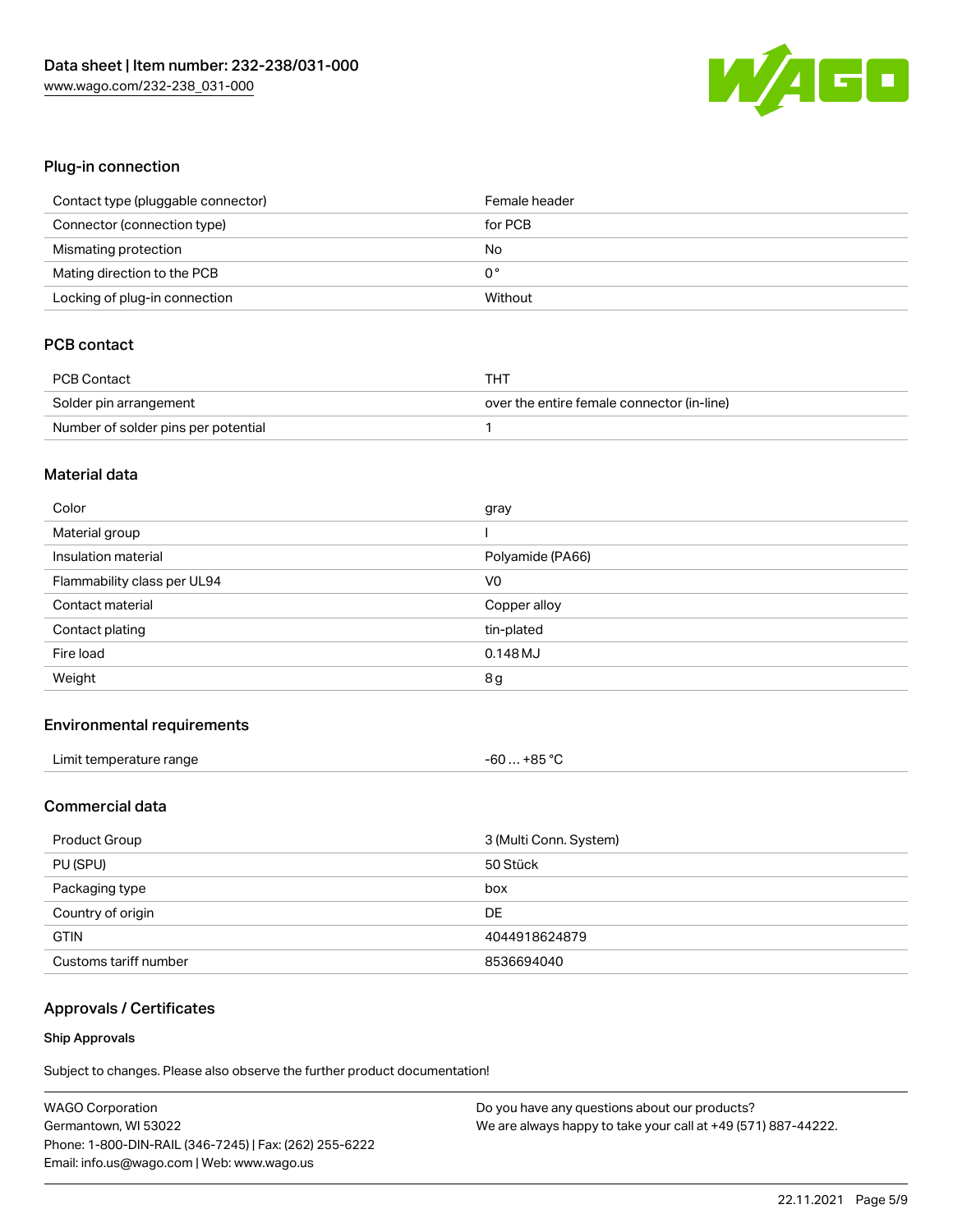

### Plug-in connection

| Contact type (pluggable connector) | Female header |
|------------------------------------|---------------|
| Connector (connection type)        | for PCB       |
| Mismating protection               | No            |
| Mating direction to the PCB        | 0°            |
| Locking of plug-in connection      | Without       |

### PCB contact

| <b>PCB Contact</b>                  | THT                                        |
|-------------------------------------|--------------------------------------------|
| Solder pin arrangement              | over the entire female connector (in-line) |
| Number of solder pins per potential |                                            |

#### Material data

| Color                       | gray             |
|-----------------------------|------------------|
| Material group              |                  |
| Insulation material         | Polyamide (PA66) |
| Flammability class per UL94 | V <sub>0</sub>   |
| Contact material            | Copper alloy     |
|                             |                  |
| Contact plating             | tin-plated       |
| Fire load                   | $0.148$ MJ       |

#### Environmental requirements

| Limit temperature range<br>. | +85 °C<br>-60<br>ີບ |
|------------------------------|---------------------|
|------------------------------|---------------------|

#### Commercial data

| Product Group         | 3 (Multi Conn. System) |
|-----------------------|------------------------|
| PU (SPU)              | 50 Stück               |
| Packaging type        | box                    |
| Country of origin     | DE                     |
| <b>GTIN</b>           | 4044918624879          |
| Customs tariff number | 8536694040             |

## Approvals / Certificates

#### Ship Approvals

| <b>WAGO Corporation</b>                                | Do you have any questions about our products?                 |
|--------------------------------------------------------|---------------------------------------------------------------|
| Germantown, WI 53022                                   | We are always happy to take your call at +49 (571) 887-44222. |
| Phone: 1-800-DIN-RAIL (346-7245)   Fax: (262) 255-6222 |                                                               |
| Email: info.us@wago.com   Web: www.wago.us             |                                                               |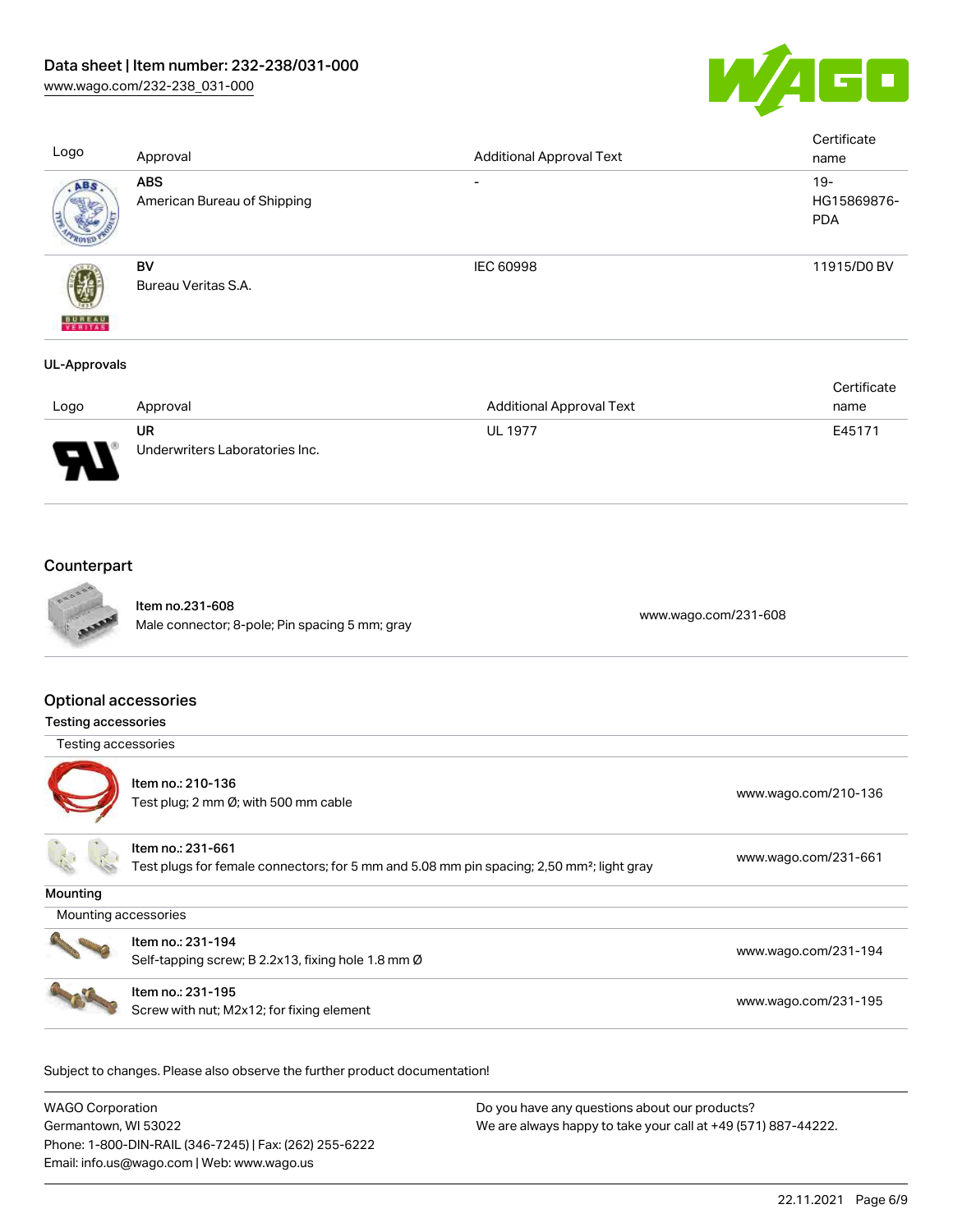

| Logo                | Approval                                  | <b>Additional Approval Text</b> | Certificate<br>name                 |
|---------------------|-------------------------------------------|---------------------------------|-------------------------------------|
| ABS.                | <b>ABS</b><br>American Bureau of Shipping | $\overline{\phantom{a}}$        | $19 -$<br>HG15869876-<br><b>PDA</b> |
| <b>BUREAU</b>       | BV<br>Bureau Veritas S.A.                 | IEC 60998                       | 11915/D0 BV                         |
| <b>UL-Approvals</b> |                                           |                                 |                                     |

|                               |                                |                                 | Certificate |
|-------------------------------|--------------------------------|---------------------------------|-------------|
| Logo                          | Approval                       | <b>Additional Approval Text</b> | name        |
|                               | UR                             | <b>UL 1977</b>                  | E45171      |
| J<br>$\overline{\phantom{a}}$ | Underwriters Laboratories Inc. |                                 |             |

# **Counterpart**



Item no.231-608 nem no.251-608<br>Male connector; 8-pole; Pin spacing 5 mm; gray [www.wago.com/231-608](https://www.wago.com/231-608)

### Optional accessories

| <b>Testing accessories</b> |                                                                                                                            |                      |
|----------------------------|----------------------------------------------------------------------------------------------------------------------------|----------------------|
| Testing accessories        |                                                                                                                            |                      |
|                            | Item no.: 210-136<br>Test plug; 2 mm $\varnothing$ ; with 500 mm cable                                                     | www.wago.com/210-136 |
|                            | Item no.: 231-661<br>Test plugs for female connectors; for 5 mm and 5.08 mm pin spacing; 2,50 mm <sup>2</sup> ; light gray | www.wago.com/231-661 |
| Mounting                   |                                                                                                                            |                      |
| Mounting accessories       |                                                                                                                            |                      |
|                            | Item no.: 231-194<br>Self-tapping screw; B 2.2x13, fixing hole 1.8 mm Ø                                                    | www.wago.com/231-194 |
|                            | Item no.: 231-195<br>Screw with nut; M2x12; for fixing element                                                             | www.wago.com/231-195 |

| <b>WAGO Corporation</b>                                | Do you have any questions about our products?                 |
|--------------------------------------------------------|---------------------------------------------------------------|
| Germantown, WI 53022                                   | We are always happy to take your call at +49 (571) 887-44222. |
| Phone: 1-800-DIN-RAIL (346-7245)   Fax: (262) 255-6222 |                                                               |
| Email: info.us@wago.com   Web: www.wago.us             |                                                               |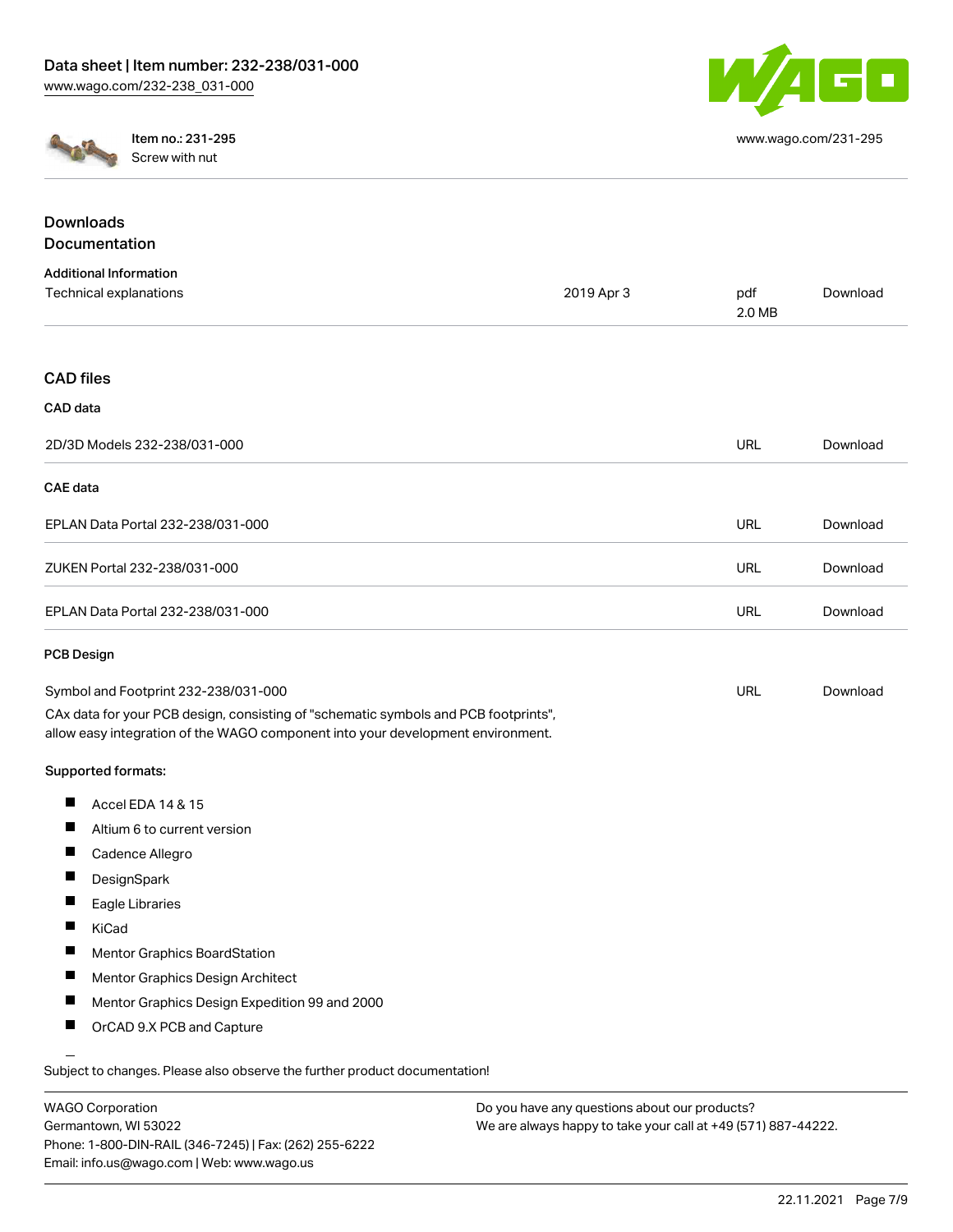

[www.wago.com/231-295](http://www.wago.com/231-295)



Item no.: 231-295 Screw with nut

| <b>Downloads</b>                                                                                                                                                       |            |               |          |
|------------------------------------------------------------------------------------------------------------------------------------------------------------------------|------------|---------------|----------|
| Documentation                                                                                                                                                          |            |               |          |
| <b>Additional Information</b>                                                                                                                                          |            |               |          |
| Technical explanations                                                                                                                                                 | 2019 Apr 3 | pdf<br>2.0 MB | Download |
| <b>CAD</b> files                                                                                                                                                       |            |               |          |
| CAD data                                                                                                                                                               |            |               |          |
| 2D/3D Models 232-238/031-000                                                                                                                                           |            | <b>URL</b>    | Download |
| CAE data                                                                                                                                                               |            |               |          |
| EPLAN Data Portal 232-238/031-000                                                                                                                                      |            | <b>URL</b>    | Download |
| ZUKEN Portal 232-238/031-000                                                                                                                                           |            | <b>URL</b>    | Download |
| EPLAN Data Portal 232-238/031-000                                                                                                                                      |            | <b>URL</b>    | Download |
| <b>PCB Design</b>                                                                                                                                                      |            |               |          |
| Symbol and Footprint 232-238/031-000                                                                                                                                   |            | URL           | Download |
| CAx data for your PCB design, consisting of "schematic symbols and PCB footprints",<br>allow easy integration of the WAGO component into your development environment. |            |               |          |
| Supported formats:                                                                                                                                                     |            |               |          |
| ш<br>Accel EDA 14 & 15                                                                                                                                                 |            |               |          |
| H.<br>Altium 6 to current version                                                                                                                                      |            |               |          |
| Ш<br>Cadence Allegro                                                                                                                                                   |            |               |          |
| п<br>DesignSpark                                                                                                                                                       |            |               |          |
| П<br>Eagle Libraries                                                                                                                                                   |            |               |          |
| П<br>KiCad                                                                                                                                                             |            |               |          |
| Mentor Graphics BoardStation<br>H.                                                                                                                                     |            |               |          |
| Mentor Graphics Design Architect<br>H.                                                                                                                                 |            |               |          |
| Mentor Graphics Design Expedition 99 and 2000                                                                                                                          |            |               |          |
| OrCAD 9.X PCB and Capture                                                                                                                                              |            |               |          |
|                                                                                                                                                                        |            |               |          |

Subject to changes. Please also observe the further product documentation!

WAGO Corporation Germantown, WI 53022 Phone: 1-800-DIN-RAIL (346-7245) | Fax: (262) 255-6222 Email: info.us@wago.com | Web: www.wago.us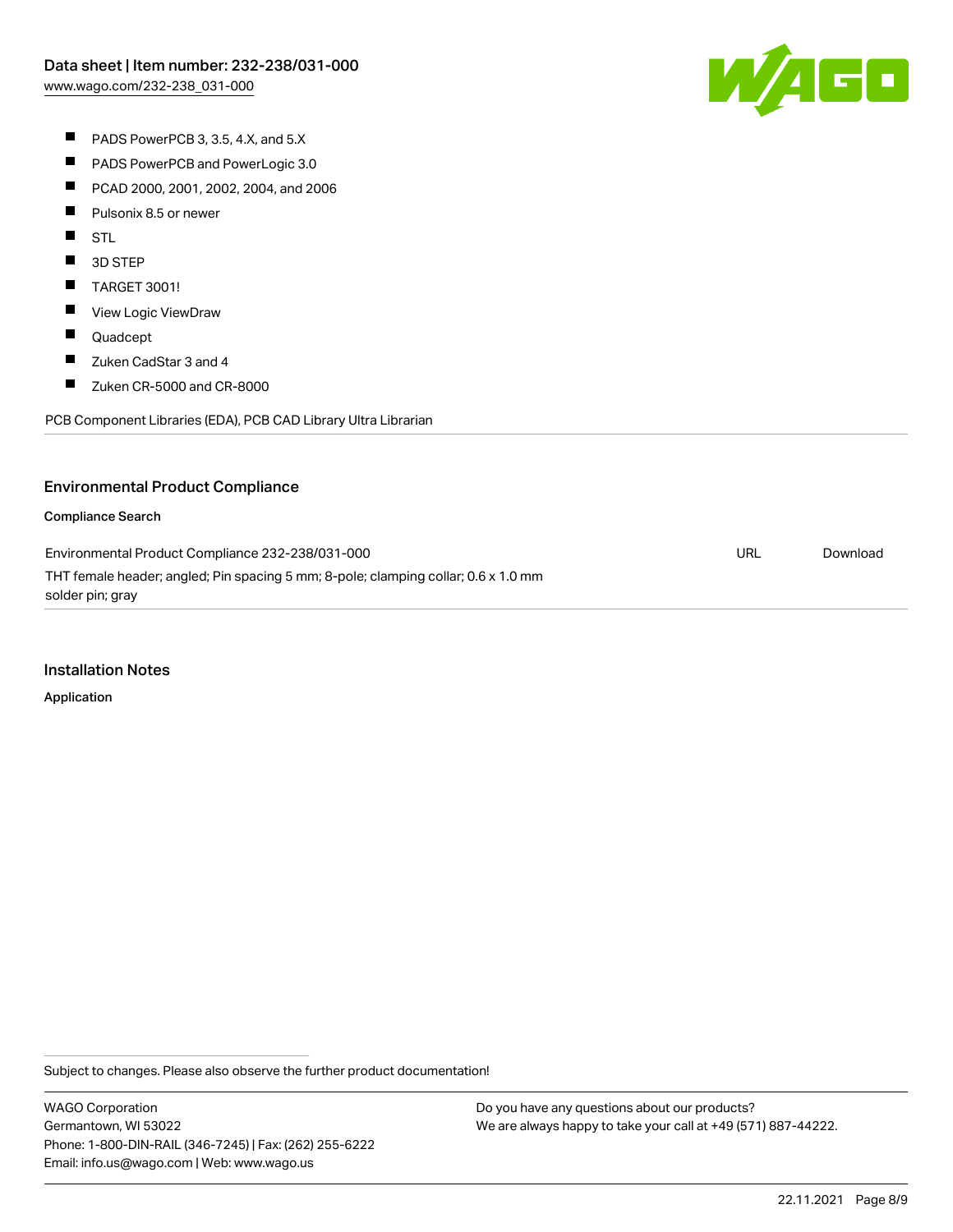W/AGC

- PADS PowerPCB 3, 3.5, 4.X, and 5.X
- $\blacksquare$ PADS PowerPCB and PowerLogic 3.0
- $\blacksquare$ PCAD 2000, 2001, 2002, 2004, and 2006
- $\blacksquare$ Pulsonix 8.5 or newer
- **STL**
- $\blacksquare$ 3D STEP
- $\blacksquare$ TARGET 3001!
- $\blacksquare$ View Logic ViewDraw
- $\blacksquare$ Quadcept
- $\blacksquare$ Zuken CadStar 3 and 4
- $\blacksquare$ Zuken CR-5000 and CR-8000

PCB Component Libraries (EDA), PCB CAD Library Ultra Librarian

### Environmental Product Compliance

#### Compliance Search

Environmental Product Compliance 232-238/031-000 THT female header; angled; Pin spacing 5 mm; 8-pole; clamping collar; 0.6 x 1.0 mm solder pin; gray URL [Download](https://www.wago.com/global/d/ComplianceLinkMediaContainer_232-238_031-000)

#### Installation Notes

Application

Subject to changes. Please also observe the further product documentation!

WAGO Corporation Germantown, WI 53022 Phone: 1-800-DIN-RAIL (346-7245) | Fax: (262) 255-6222 Email: info.us@wago.com | Web: www.wago.us